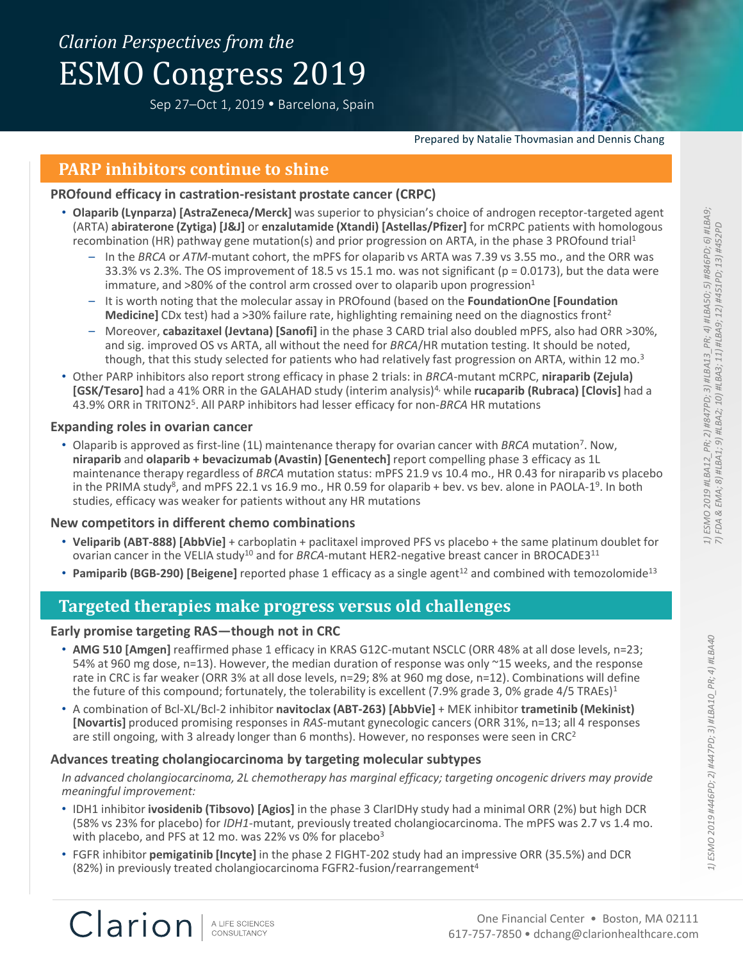# *Clarion Perspectives from the* ESMO Congress 2019

Sep 27-Oct 1, 2019 · Barcelona, Spain

Prepared by Natalie Thovmasian and Dennis Chang

## **PARP inhibitors continue to shine**

### **PROfound efficacy in castration-resistant prostate cancer (CRPC)**

- **Olaparib (Lynparza) [AstraZeneca/Merck]** was superior to physician's choice of androgen receptor-targeted agent (ARTA) **abiraterone (Zytiga) [J&J]** or **enzalutamide (Xtandi) [Astellas/Pfizer]** for mCRPC patients with homologous recombination (HR) pathway gene mutation(s) and prior progression on ARTA, in the phase 3 PROfound trial<sup>1</sup>
	- In the *BRCA* or *ATM*-mutant cohort, the mPFS for olaparib vs ARTA was 7.39 vs 3.55 mo., and the ORR was 33.3% vs 2.3%. The OS improvement of 18.5 vs 15.1 mo. was not significant ( $p = 0.0173$ ), but the data were immature, and  $>80\%$  of the control arm crossed over to olaparib upon progression<sup>1</sup>
	- It is worth noting that the molecular assay in PROfound (based on the **FoundationOne [Foundation Medicine]** CDx test) had a >30% failure rate, highlighting remaining need on the diagnostics front<sup>2</sup>
	- Moreover, **cabazitaxel (Jevtana) [Sanofi]** in the phase 3 CARD trial also doubled mPFS, also had ORR >30%, and sig. improved OS vs ARTA, all without the need for *BRCA*/HR mutation testing. It should be noted, though, that this study selected for patients who had relatively fast progression on ARTA, within 12 mo.<sup>3</sup>
- Other PARP inhibitors also report strong efficacy in phase 2 trials: in *BRCA*-mutant mCRPC, **niraparib (Zejula) [GSK/Tesaro]** had a 41% ORR in the GALAHAD study (interim analysis)4, while **rucaparib (Rubraca) [Clovis]** had a 43.9% ORR in TRITON2<sup>5</sup>. All PARP inhibitors had lesser efficacy for non-BRCA HR mutations

## **Expanding roles in ovarian cancer**

• Olaparib is approved as first-line (1L) maintenance therapy for ovarian cancer with BRCA mutation<sup>7</sup>. Now, **niraparib** and **olaparib + bevacizumab (Avastin) [Genentech]** report compelling phase 3 efficacy as 1L maintenance therapy regardless of *BRCA* mutation status: mPFS 21.9 vs 10.4 mo., HR 0.43 for niraparib vs placebo in the PRIMA study<sup>8</sup>, and mPFS 22.1 vs 16.9 mo., HR 0.59 for olaparib + bev. vs bev. alone in PAOLA-1<sup>9</sup>. In both studies, efficacy was weaker for patients without any HR mutations

### **New competitors in different chemo combinations**

- **Veliparib (ABT-888) [AbbVie]** + carboplatin + paclitaxel improved PFS vs placebo + the same platinum doublet for ovarian cancer in the VELIA study<sup>10</sup> and for *BRCA*-mutant HER2-negative breast cancer in BROCADE3<sup>11</sup>
- **Pamiparib (BGB-290) [Beigene]** reported phase 1 efficacy as a single agent<sup>12</sup> and combined with temozolomide<sup>13</sup>

## **Targeted therapies make progress versus old challenges**

### **Early promise targeting RAS—though not in CRC**

- **AMG 510 [Amgen]** reaffirmed phase 1 efficacy in KRAS G12C-mutant NSCLC (ORR 48% at all dose levels, n=23; 54% at 960 mg dose, n=13). However, the median duration of response was only ~15 weeks, and the response rate in CRC is far weaker (ORR 3% at all dose levels, n=29; 8% at 960 mg dose, n=12). Combinations will define the future of this compound; fortunately, the tolerability is excellent (7.9% grade 3, 0% grade 4/5 TRAEs)<sup>1</sup>
- A combination of Bcl-XL/Bcl-2 inhibitor **navitoclax (ABT-263) [AbbVie]** + MEK inhibitor **trametinib (Mekinist) [Novartis]** produced promising responses in *RAS*-mutant gynecologic cancers (ORR 31%, n=13; all 4 responses are still ongoing, with 3 already longer than 6 months). However, no responses were seen in  $CRC<sup>2</sup>$

## **Advances treating cholangiocarcinoma by targeting molecular subtypes**

*In advanced cholangiocarcinoma, 2L chemotherapy has marginal efficacy; targeting oncogenic drivers may provide meaningful improvement:*

- IDH1 inhibitor **ivosidenib (Tibsovo) [Agios]** in the phase 3 ClarIDHy study had a minimal ORR (2%) but high DCR (58% vs 23% for placebo) for *IDH1*-mutant, previously treated cholangiocarcinoma. The mPFS was 2.7 vs 1.4 mo. with placebo, and PFS at 12 mo. was 22% vs 0% for placebo<sup>3</sup>
- FGFR inhibitor **pemigatinib [Incyte]** in the phase 2 FIGHT-202 study had an impressive ORR (35.5%) and DCR (82%) in previously treated cholangiocarcinoma FGFR2-fusion/rearrangement<sup>4</sup>

Clarion A LIFE SCIENCES CONSULTANCY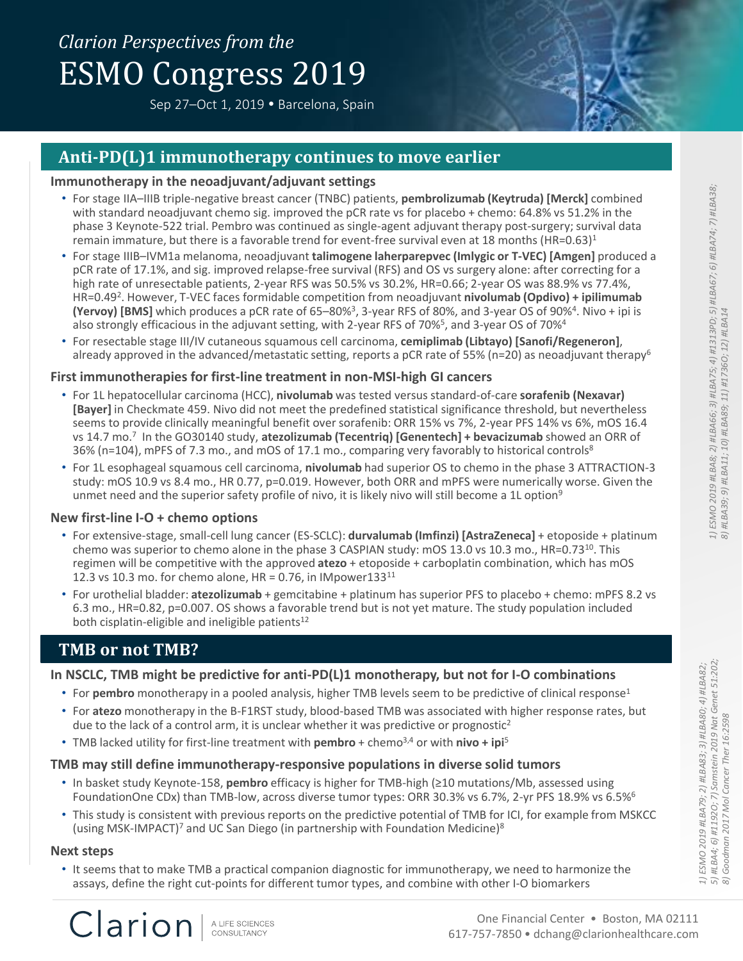# *Clarion Perspectives from the* ESMO Congress 2019

Sep 27-Oct 1, 2019 · Barcelona, Spain



## **Anti-PD(L)1 immunotherapy continues to move earlier**

### **Immunotherapy in the neoadjuvant/adjuvant settings**

- For stage IIA–IIIB triple-negative breast cancer (TNBC) patients, **pembrolizumab (Keytruda) [Merck]** combined with standard neoadjuvant chemo sig. improved the pCR rate vs for placebo + chemo: 64.8% vs 51.2% in the phase 3 Keynote-522 trial. Pembro was continued as single-agent adjuvant therapy post-surgery; survival data remain immature, but there is a favorable trend for event-free survival even at 18 months (HR=0.63)<sup>1</sup>
- For stage IIIB–IVM1a melanoma, neoadjuvant **talimogene laherparepvec (Imlygic or T-VEC) [Amgen]** produced a pCR rate of 17.1%, and sig. improved relapse-free survival (RFS) and OS vs surgery alone: after correcting for a high rate of unresectable patients, 2-year RFS was 50.5% vs 30.2%, HR=0.66; 2-year OS was 88.9% vs 77.4%, HR=0.49<sup>2</sup> . However, T-VEC faces formidable competition from neoadjuvant **nivolumab (Opdivo) + ipilimumab**  (Yervoy) [BMS] which produces a pCR rate of 65–80%<sup>3</sup>, 3-year RFS of 80%, and 3-year OS of 90%<sup>4</sup>. Nivo + ipi is also strongly efficacious in the adjuvant setting, with 2-year RFS of 70%<sup>5</sup>, and 3-year OS of 70%<sup>4</sup>
- For resectable stage III/IV cutaneous squamous cell carcinoma, **cemiplimab (Libtayo) [Sanofi/Regeneron]**, already approved in the advanced/metastatic setting, reports a pCR rate of 55% (n=20) as neoadjuvant therapy<sup>6</sup>

## **First immunotherapies for first-line treatment in non-MSI-high GI cancers**

- For 1L hepatocellular carcinoma (HCC), **nivolumab** was tested versus standard-of-care **sorafenib (Nexavar) [Bayer]** in Checkmate 459. Nivo did not meet the predefined statistical significance threshold, but nevertheless seems to provide clinically meaningful benefit over sorafenib: ORR 15% vs 7%, 2-year PFS 14% vs 6%, mOS 16.4 vs 14.7 mo.<sup>7</sup> In the GO30140 study, atezolizumab (Tecentriq) [Genentech] + bevacizumab showed an ORR of 36% (n=104), mPFS of 7.3 mo., and mOS of 17.1 mo., comparing very favorably to historical controls<sup>8</sup>
- For 1L esophageal squamous cell carcinoma, **nivolumab** had superior OS to chemo in the phase 3 ATTRACTION-3 study: mOS 10.9 vs 8.4 mo., HR 0.77, p=0.019. However, both ORR and mPFS were numerically worse. Given the unmet need and the superior safety profile of nivo, it is likely nivo will still become a 1L option<sup>9</sup>

### **New first-line I-O + chemo options**

- For extensive-stage, small-cell lung cancer (ES-SCLC): **durvalumab (Imfinzi) [AstraZeneca]** + etoposide + platinum chemo was superior to chemo alone in the phase 3 CASPIAN study: mOS 13.0 vs 10.3 mo., HR=0.73<sup>10</sup>. This regimen will be competitive with the approved **atezo** + etoposide + carboplatin combination, which has mOS 12.3 vs 10.3 mo. for chemo alone, HR = 0.76, in IMpower133 $^{11}$
- For urothelial bladder: **atezolizumab** + gemcitabine + platinum has superior PFS to placebo + chemo: mPFS 8.2 vs 6.3 mo., HR=0.82, p=0.007. OS shows a favorable trend but is not yet mature. The study population included both cisplatin-eligible and ineligible patients<sup>12</sup>

## **TMB or not TMB?**

Clarion

## **In NSCLC, TMB might be predictive for anti-PD(L)1 monotherapy, but not for I-O combinations**

- For **pembro** monotherapy in a pooled analysis, higher TMB levels seem to be predictive of clinical response<sup>1</sup>
- For **atezo** monotherapy in the B-F1RST study, blood-based TMB was associated with higher response rates, but due to the lack of a control arm, it is unclear whether it was predictive or prognostic<sup>2</sup>
- TMB lacked utility for first-line treatment with **pembro** + chemo3,4 or with **nivo + ipi**<sup>5</sup>

## **TMB may still define immunotherapy-responsive populations in diverse solid tumors**

- In basket study Keynote-158, **pembro** efficacy is higher for TMB-high (≥10 mutations/Mb, assessed using FoundationOne CDx) than TMB-low, across diverse tumor types: ORR 30.3% vs 6.7%, 2-yr PFS 18.9% vs 6.5%<sup>6</sup>
- This study is consistent with previous reports on the predictive potential of TMB for ICI, for example from MSKCC (using MSK-IMPACT)<sup>7</sup> and UC San Diego (in partnership with Foundation Medicine)<sup>8</sup>

### **Next steps**

• It seems that to make TMB a practical companion diagnostic for immunotherapy, we need to harmonize the assays, define the right cut-points for different tumor types, and combine with other I-O biomarkers